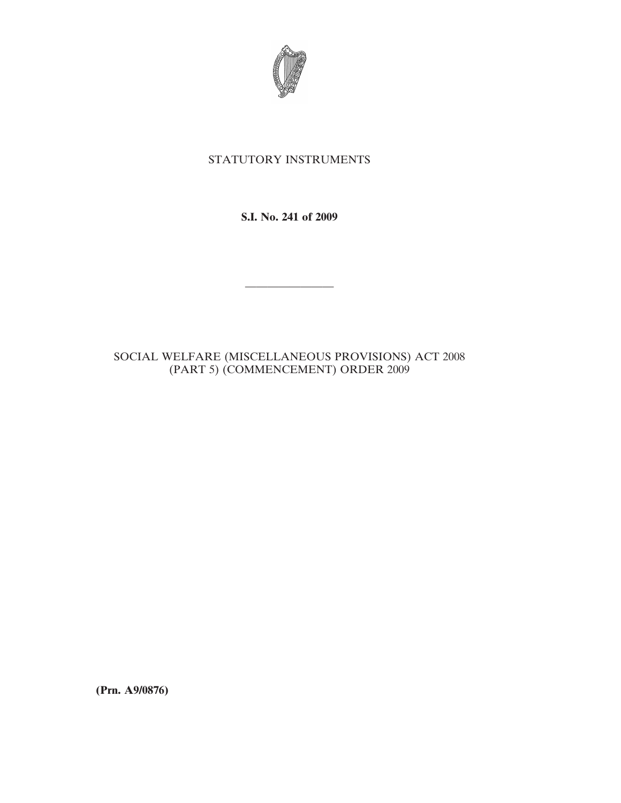

## STATUTORY INSTRUMENTS

**S.I. No. 241 of 2009**

————————

## SOCIAL WELFARE (MISCELLANEOUS PROVISIONS) ACT 2008 (PART 5) (COMMENCEMENT) ORDER 2009

**(Prn. A9/0876)**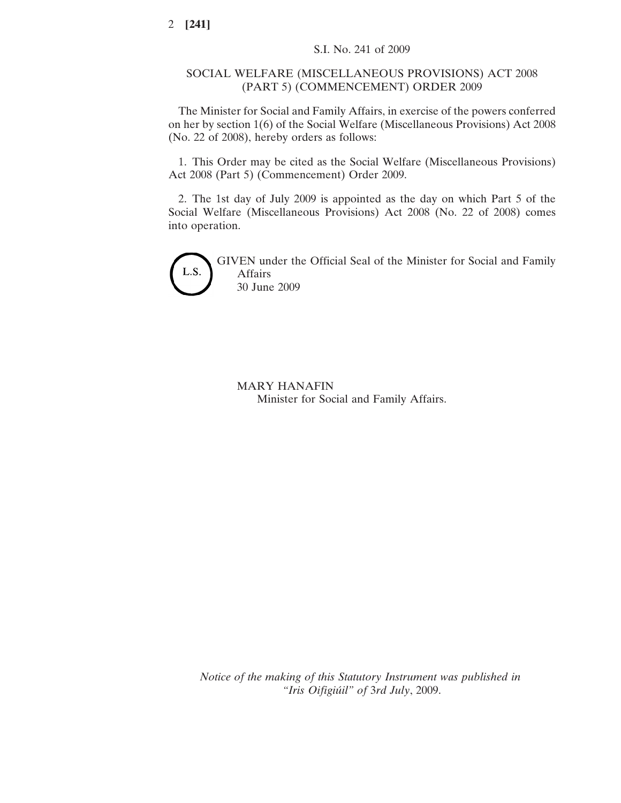## SOCIAL WELFARE (MISCELLANEOUS PROVISIONS) ACT 2008 (PART 5) (COMMENCEMENT) ORDER 2009

The Minister for Social and Family Affairs, in exercise of the powers conferred on her by section 1(6) of the Social Welfare (Miscellaneous Provisions) Act 2008 (No. 22 of 2008), hereby orders as follows:

1. This Order may be cited as the Social Welfare (Miscellaneous Provisions) Act 2008 (Part 5) (Commencement) Order 2009.

2. The 1st day of July 2009 is appointed as the day on which Part 5 of the Social Welfare (Miscellaneous Provisions) Act 2008 (No. 22 of 2008) comes into operation.



GIVEN under the Official Seal of the Minister for Social and Family Affairs 30 June 2009

MARY HANAFIN Minister for Social and Family Affairs.

*Notice of the making of this Statutory Instrument was published in "Iris Oifigiu´il" of* 3*rd July*, 2009.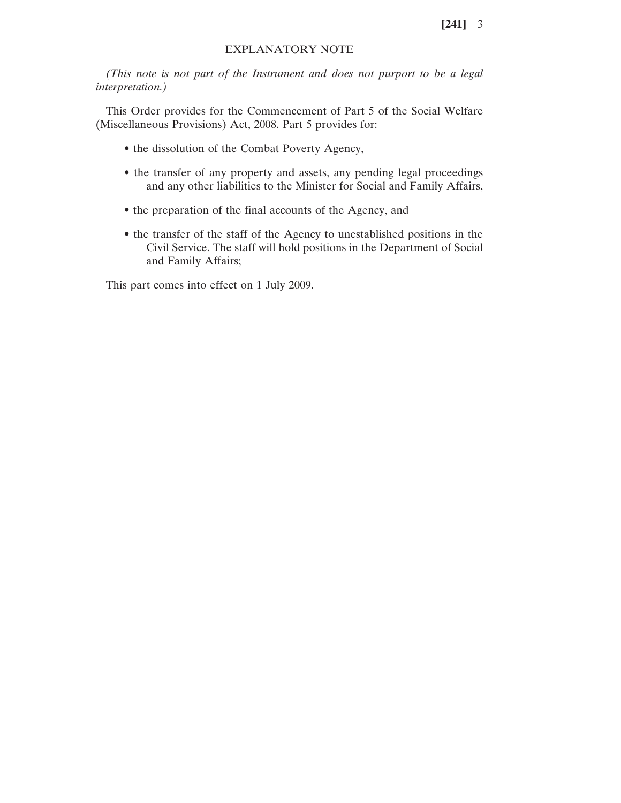## EXPLANATORY NOTE

*(This note is not part of the Instrument and does not purport to be a legal interpretation.)*

This Order provides for the Commencement of Part 5 of the Social Welfare (Miscellaneous Provisions) Act, 2008. Part 5 provides for:

- the dissolution of the Combat Poverty Agency,
- the transfer of any property and assets, any pending legal proceedings and any other liabilities to the Minister for Social and Family Affairs,
- the preparation of the final accounts of the Agency, and
- the transfer of the staff of the Agency to unestablished positions in the Civil Service. The staff will hold positions in the Department of Social and Family Affairs;

This part comes into effect on 1 July 2009.